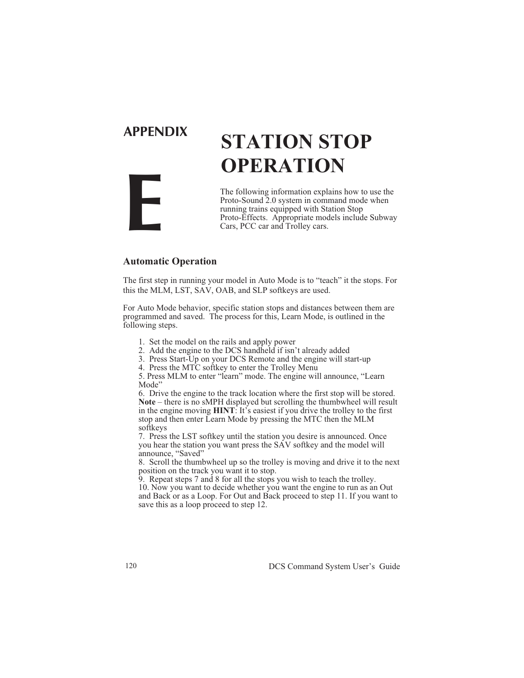# **E**

## **APPENDIX STATION STOP OPERATION**

The following information explains how to use the Proto-Sound 2.0 system in command mode when running trains equipped with Station Stop Proto-Effects. Appropriate models include Subway Cars, PCC car and Trolley cars.

#### **Automatic Operation**

The first step in running your model in Auto Mode is to "teach" it the stops. For this the MLM, LST, SAV, OAB, and SLP softkeys are used.

For Auto Mode behavior, specific station stops and distances between them are programmed and saved. The process for this, Learn Mode, is outlined in the following steps.

- 1. Set the model on the rails and apply power
- 2. Add the engine to the DCS handheld if isn't already added
- 3. Press Start-Up on your DCS Remote and the engine will start-up

4. Press the MTC softkey to enter the Trolley Menu

5. Press MLM to enter "learn" mode. The engine will announce, "Learn Mode"

6. Drive the engine to the track location where the first stop will be stored. **Note** – there is no sMPH displayed but scrolling the thumbwheel will result in the engine moving **HINT**: It's easiest if you drive the trolley to the first stop and then enter Learn Mode by pressing the MTC then the MLM softkeys

7. Press the LST softkey until the station you desire is announced. Once you hear the station you want press the SAV softkey and the model will announce, "Saved"

8. Scroll the thumbwheel up so the trolley is moving and drive it to the next position on the track you want it to stop.

9. Repeat steps 7 and 8 for all the stops you wish to teach the trolley. 10. Now you want to decide whether you want the engine to run as an Out and Back or as a Loop. For Out and Back proceed to step 11. If you want to save this as a loop proceed to step 12.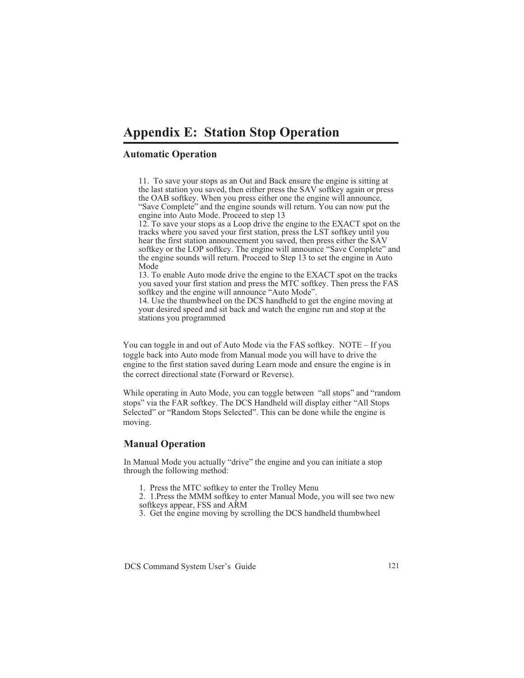### **Appendix E: Station Stop Operation**

#### **Automatic Operation**

11. To save your stops as an Out and Back ensure the engine is sitting at the last station you saved, then either press the SAV softkey again or press the OAB softkey. When you press either one the engine will announce, "Save Complete" and the engine sounds will return. You can now put the engine into Auto Mode. Proceed to step 13

12. To save your stops as a Loop drive the engine to the EXACT spot on the tracks where you saved your first station, press the LST softkey until you hear the first station announcement you saved, then press either the SAV softkey or the LOP softkey. The engine will announce "Save Complete" and the engine sounds will return. Proceed to Step 13 to set the engine in Auto Mode

13. To enable Auto mode drive the engine to the EXACT spot on the tracks you saved your first station and press the MTC softkey. Then press the FAS softkey and the engine will announce "Auto Mode".

14. Use the thumbwheel on the DCS handheld to get the engine moving at your desired speed and sit back and watch the engine run and stop at the stations you programmed

You can toggle in and out of Auto Mode via the FAS softkey. NOTE – If you toggle back into Auto mode from Manual mode you will have to drive the engine to the first station saved during Learn mode and ensure the engine is in the correct directional state (Forward or Reverse).

While operating in Auto Mode, you can toggle between "all stops" and "random stops" via the FAR softkey. The DCS Handheld will display either "All Stops Selected" or "Random Stops Selected". This can be done while the engine is moving.

#### **Manual Operation**

In Manual Mode you actually "drive" the engine and you can initiate a stop through the following method:

1. Press the MTC softkey to enter the Trolley Menu

2. 1.Press the MMM softkey to enter Manual Mode, you will see two new softkeys appear, FSS and ARM

3. Get the engine moving by scrolling the DCS handheld thumbwheel

DCS Command System User's Guide 121